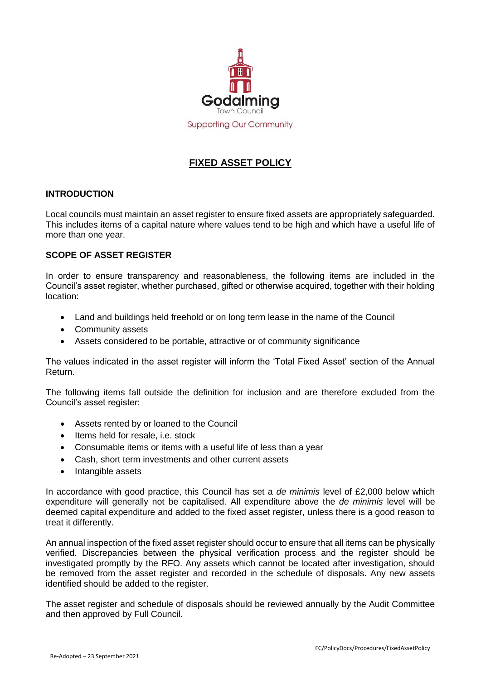

# **FIXED ASSET POLICY**

#### **INTRODUCTION**

Local councils must maintain an asset register to ensure fixed assets are appropriately safeguarded. This includes items of a capital nature where values tend to be high and which have a useful life of more than one year.

#### **SCOPE OF ASSET REGISTER**

In order to ensure transparency and reasonableness, the following items are included in the Council's asset register, whether purchased, gifted or otherwise acquired, together with their holding location:

- Land and buildings held freehold or on long term lease in the name of the Council
- Community assets
- Assets considered to be portable, attractive or of community significance

The values indicated in the asset register will inform the 'Total Fixed Asset' section of the Annual Return.

The following items fall outside the definition for inclusion and are therefore excluded from the Council's asset register:

- Assets rented by or loaned to the Council
- $\bullet$  Items held for resale, i.e. stock
- Consumable items or items with a useful life of less than a year
- Cash, short term investments and other current assets
- Intangible assets

In accordance with good practice, this Council has set a *de minimis* level of £2,000 below which expenditure will generally not be capitalised. All expenditure above the *de minimis* level will be deemed capital expenditure and added to the fixed asset register, unless there is a good reason to treat it differently.

An annual inspection of the fixed asset register should occur to ensure that all items can be physically verified. Discrepancies between the physical verification process and the register should be investigated promptly by the RFO. Any assets which cannot be located after investigation, should be removed from the asset register and recorded in the schedule of disposals. Any new assets identified should be added to the register.

The asset register and schedule of disposals should be reviewed annually by the Audit Committee and then approved by Full Council.